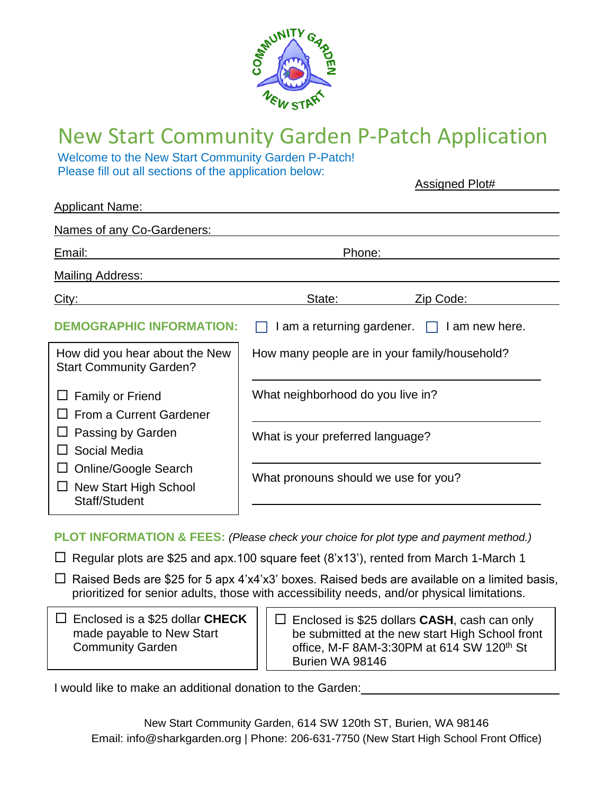

# New Start Community Garden P-Patch Application

Welcome to the New Start Community Garden P-Patch! Please fill out all sections of the application below:

Assigned Plot#

| <b>Applicant Name:</b>                                                |                                                                       |                                                  |  |
|-----------------------------------------------------------------------|-----------------------------------------------------------------------|--------------------------------------------------|--|
| Names of any Co-Gardeners:                                            |                                                                       |                                                  |  |
| Email:                                                                | Phone:                                                                |                                                  |  |
| <b>Mailing Address:</b>                                               |                                                                       |                                                  |  |
| City:                                                                 | State:                                                                | Zip Code:                                        |  |
| <b>DEMOGRAPHIC INFORMATION:</b>                                       |                                                                       | I am a returning gardener. $\Box$ I am new here. |  |
| How did you hear about the New<br><b>Start Community Garden?</b>      | How many people are in your family/household?                         |                                                  |  |
| <b>Family or Friend</b><br>From a Current Gardener                    | What neighborhood do you live in?<br>What is your preferred language? |                                                  |  |
| Passing by Garden<br>Social Media                                     |                                                                       |                                                  |  |
| <b>Online/Google Search</b><br>New Start High School<br>Staff/Student | What pronouns should we use for you?                                  |                                                  |  |
|                                                                       |                                                                       |                                                  |  |

**PLOT INFORMATION & FEES:** *(Please check your choice for plot type and payment method.)*

 $\Box$  Regular plots are \$25 and apx.100 square feet (8'x13'), rented from March 1-March 1

 $\Box$  Raised Beds are \$25 for 5 apx 4'x4'x3' boxes. Raised beds are available on a limited basis, prioritized for senior adults, those with accessibility needs, and/or physical limitations.

| $\Box$ Enclosed is a \$25 dollar CHECK |  |
|----------------------------------------|--|
| made payable to New Start              |  |
| <b>Community Garden</b>                |  |

 Enclosed is \$25 dollars **CASH**, cash can only be submitted at the new start High School front office, M-F 8AM-3:30PM at 614 SW 120<sup>th</sup> St Burien WA 98146

I would like to make an additional donation to the Garden: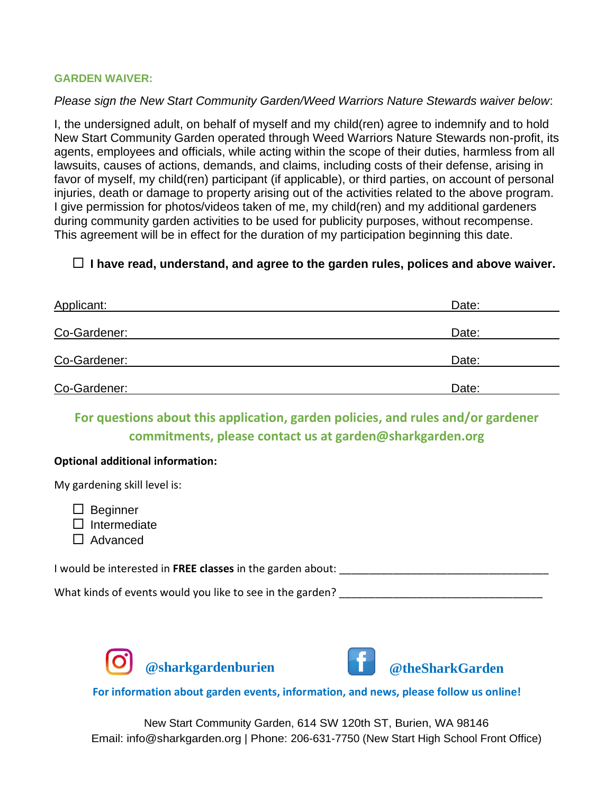### **GARDEN WAIVER:**

### *Please sign the New Start Community Garden/Weed Warriors Nature Stewards waiver below*:

I, the undersigned adult, on behalf of myself and my child(ren) agree to indemnify and to hold New Start Community Garden operated through Weed Warriors Nature Stewards non-profit, its agents, employees and officials, while acting within the scope of their duties, harmless from all lawsuits, causes of actions, demands, and claims, including costs of their defense, arising in favor of myself, my child(ren) participant (if applicable), or third parties, on account of personal injuries, death or damage to property arising out of the activities related to the above program. I give permission for photos/videos taken of me, my child(ren) and my additional gardeners during community garden activities to be used for publicity purposes, without recompense. This agreement will be in effect for the duration of my participation beginning this date.

### **I have read, understand, and agree to the garden rules, polices and above waiver.**

| Applicant:   | Date: |
|--------------|-------|
| Co-Gardener: | Date: |
| Co-Gardener: | Date: |
| Co-Gardener: | Date: |

**For questions about this application, garden policies, and rules and/or gardener commitments, please contact us at garden@sharkgarden.org**

### **Optional additional information:**

My gardening skill level is:

 $\Box$  Beginner

 $\square$  Intermediate

 $\Box$  Advanced

I would be interested in FREE classes in the garden about:

What kinds of events would you like to see in the garden?





### **@theSharkGarden**

### **For information about garden events, information, and news, please follow us online!**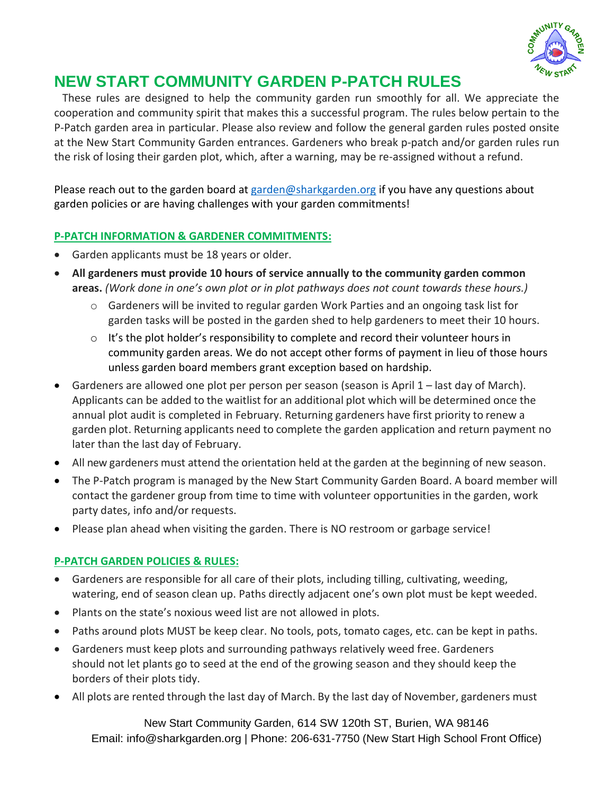

## **NEW START COMMUNITY GARDEN P-PATCH RULES**

 These rules are designed to help the community garden run smoothly for all. We appreciate the cooperation and community spirit that makes this a successful program. The rules below pertain to the P-Patch garden area in particular. Please also review and follow the general garden rules posted onsite at the New Start Community Garden entrances. Gardeners who break p-patch and/or garden rules run the risk of losing their garden plot, which, after a warning, may be re-assigned without a refund.

Please reach out to the garden board at [garden@sharkgarden.org](mailto:garden@sharkgarden.org) if you have any questions about garden policies or are having challenges with your garden commitments!

### **P-PATCH INFORMATION & GARDENER COMMITMENTS:**

- Garden applicants must be 18 years or older.
- **All gardeners must provide 10 hours of service annually to the community garden common areas.** *(Work done in one's own plot or in plot pathways does not count towards these hours.)*
	- $\circ$  Gardeners will be invited to regular garden Work Parties and an ongoing task list for garden tasks will be posted in the garden shed to help gardeners to meet their 10 hours.
	- $\circ$  It's the plot holder's responsibility to complete and record their volunteer hours in community garden areas. We do not accept other forms of payment in lieu of those hours unless garden board members grant exception based on hardship.
- Gardeners are allowed one plot per person per season (season is April 1 last day of March). Applicants can be added to the waitlist for an additional plot which will be determined once the annual plot audit is completed in February. Returning gardeners have first priority to renew a garden plot. Returning applicants need to complete the garden application and return payment no later than the last day of February.
- All new gardeners must attend the orientation held at the garden at the beginning of new season.
- The P-Patch program is managed by the New Start Community Garden Board. A board member will contact the gardener group from time to time with volunteer opportunities in the garden, work party dates, info and/or requests.
- Please plan ahead when visiting the garden. There is NO restroom or garbage service!

### **P-PATCH GARDEN POLICIES & RULES:**

- Gardeners are responsible for all care of their plots, including tilling, cultivating, weeding, watering, end of season clean up. Paths directly adjacent one's own plot must be kept weeded.
- Plants on the state's noxious weed list are not allowed in plots.
- Paths around plots MUST be keep clear. No tools, pots, tomato cages, etc. can be kept in paths.
- Gardeners must keep plots and surrounding pathways relatively weed free. Gardeners should not let plants go to seed at the end of the growing season and they should keep the borders of their plots tidy.
- All plots are rented through the last day of March. By the last day of November, gardeners must